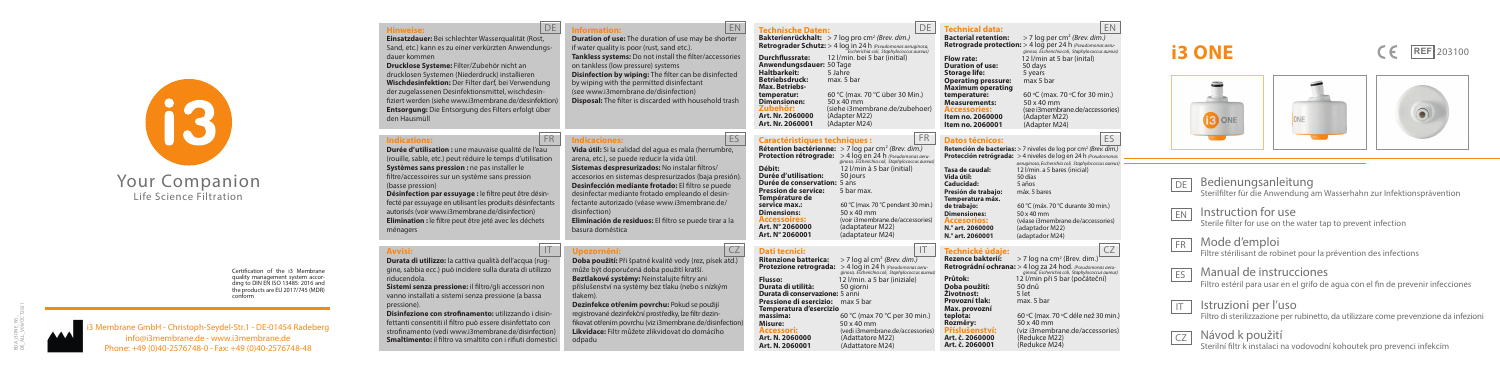

embrane GmbH - Christoph-Seydel-Str.1 - DE-01454 Radeberg info@i3membrane.de - www.i3membrane.de Phone: +49 (0)40-2576748-0 - Fax: +49 (0)40-2576748-48

# Your Companion

Life Science Filtration

## Bedienungsanleitung Sterilfilter für die Anwendung am Wasserhahn zur Infektionsprävention

DE

IT



**Hinweise: Einsatzdauer:** Bei schlechter Wasserqualität (Rost, Sand, etc.) kann es zu einer verkürzten Anwendungsdauer kommen

**Drucklose Systeme:** Filter/Zubehör nicht an drucklosen Systemen (Niederdruck) installieren **Wischdesinfektion:** Der Filter darf, bei Verwendung der zugelassenen Desinfektionsmittel, wischdesinfiziert werden (siehe www.i3membrane.de/desinfektion) **Entsorgung:** Die Entsorgung des Filters erfolgt über den Hausmüll

**Technische Daten:**<br>Bakterienrückhalt: > 7 log pro cm<sup>2</sup> (Brev. dim.) **Retrograder Schutz:** > 4 log in 24 h *(Pseudomonas aeruginosa, Escherichia coli, Staphylococcus aureus)* **Durchflussrate:** 12 l/min. bei 5 bar (initial) **Anwendungsdauer:** 50 Tage **Haltbarkeit:** 5 Jahre **Betriebsdruck:** max. 5 bar **Max. Betriebstemperatur:** 60 °C (max.<br>**Dimensionen:** 50 x 40 mm 60 °C (max. 70 °C über 30 Min.) C über 30 Min.) **Dimensionen:** 50 x 40 mm **Zubehör:** (siehe i3membrane.de/zubehoer) **Art. Nr. 2060000** (Adapter M22) **Art. Nr. 2060001** (Adapter M24)

- EN Instruction for use Sterile filter for use on the water tap to prevent infection
- FR Mode d'emploi

ES Manual de instrucciones Filtro estéril para usar en el grifo de agua con el fin de prevenir infecciones

Certification of the i3 Membrane quality management system according to DIN EN ISO 13485: 2016 and the products are EU 2017/745 (MDR) conform

Filtre stérilisant de robinet pour la prévention des infections

**Caractéristiques techniques :**<br>**Rétention bactérienne:** > 7 log par cm<sup>2</sup> *(Brev. dim.)* **Protection rétrograde:** > 4 log en 24 h *(Pseudomonas aeru ginosa, Escherichia coli, Staphylococcus aureus)* **Durée d'utilisation:**  $\frac{50 \text{ jours}}{3 \text{ ns}}$ <br> **Durée de conservation:**  $5 \text{ ans}$ <br> **Pression de service:**  $\frac{5 \text{ bar max}}{3 \text{ ps}}$ <br> **Service max.:**  $\frac{60 \text{ °C}}{3 \text{ ms}}$ **service max.:** 60 °C (max. 70 °C pendant 30 min.)<br>**Dimensions:** 50 x 40 mm **Processoires: Example 18 x 40 x 40 x 40 mm Accessories**<br> **Art. N° 2060000** (adaptateur M22) **Art. N° 2060000** (adaptateur M22) **Art. N° 2060001** (adaptateur M24)

Istruzioni per l'uso Filtro di sterilizzazione per rubinetto, da utilizzare come prevenzione da infezioni

Návod k použití Sterilní filtr k instalaci na vodovodní kohoutek pro prevenci infekcím





**Information: Duration of use:** The duration of use may be shorter if water quality is poor (rust, sand etc.). **Tankless systems:** Do not install the filter/accessories on tankless (low pressure) systems **Disinfection by wiping:** The filter can be disinfected by wiping with the permitted disinfectant (see www.i3membrane.de/disinfection) **Disposal:** The filter is discarded with household trash

### FR ES **Datos técnicos:**

Dimensiones<sup>\*</sup>

#### FR Indicaciones: ES **Indicaciones:**

**Retención de bacterias:** > 7 niveles de log por cm2 *(Brev. dim.)* **Protección retrógrada:** > 4 niveles de log en 24 h *(Pseudomonas aeruginosa, Escherichia coli, Staphylococcus aureus)* **Tasa de caudal:** 12 l/min. a 5 bares (inicial) **Vida útil: 12 yunion**<br> **Vida útil:** 50 días<br> **Caducidad:** 5 años **Caducidad:** 5 años **Presión de trabajo: Temperatura máx.** 

#### IT CZ **Upozornění:**

**de trabajo:** 60 °C (máx. 70 °C durante 30 min.) **Accesorios:** (véase i3membrane.de/accessories)<br>**N.<sup>º</sup> art. 2060000** (adaptador M22) **N.° art. 2060000** (adaptador M22)<br>**N.° art. 2060001** (adaptador M24) **N.° art. 2060001** (adaptador M24)

**Technické údaje:**<br>**Rezence bakterií:** > 7 log na cm<sup>2</sup> (Brev. dim.) **Retrográdní ochrana:** > 4 log za 24 hod. *(Pseudomonas aeru ginosa, Escherichia coli, Staphylococcus aureus*)<br>**Průtok:** 12 l/min při 5 bar (počáteční) **Průtok: 12 l/min při 5 bar (počáteční)**<br>**Doba použití:** 50 dpů **Životnost:** 5 let<br>**Provozní tlak:** max. 5 bar<br>**Max. provozní teplota:** 60 °C (max. 7<br> **Rozměrv:** 50 x 40 mm 'C (max. 70 °C déle než 30 min.) **Příslušenství:** (viz i3membrane.de/accessories)<br>**Art. č. 2060000** (Redukce M22)<br>**Art. č. 2060001** (Redukce M24)

**Dati tecnici: Ritenzione batterica:** > 7 log al cm2 *(Brev. dim.)* **Protezione retrograda:** > 4 log in 24 h *(Pseudomonas aeru* **Flusso:** *ginosa, Escherichia coli, Staphylococcus aure*<br>**Flusso:** 12 I/min. a 5 bar (iniziale) **Flurata di utilità:**  $\frac{1}{2}$  50 giorni **Durata di conservazione:**  $\frac{5}{3}$  anni **Pressione di esercizio:**  $\frac{7}{3}$  max 5 bar **Temperatura d'esercizio**<br>**Temperatura d'esercizio**  $\frac{60 \text{ °C}}{2}$  (max 70  $\text{ °C}$  per 30 **Misure:** 50 x 40 mm<br> **Accessori:** (vedi i3membrane.de/accessories)<br> **Art. N. 2060000** (Adattatore M22) **Art. N. 2060000** (Adattatore M22) **Art. N. 2060001** (Adattatore M24)

**DE** Technical data: EN

**Bacterial retention:** > 7 log per cm<sup>2</sup> *(Brev. dim.)* **Retrograde protection:** > 4 log per 24 h *(Pseudomonas aeru ginosa, Escherichia coli, Staphylococcus aureus*)<br> **Flow rate:** 12 *l*/min at 5 bar (inital) **Flow rate: 12 l/min at 5 bar (inital)**<br>**Duration of use:** 50 days<br>**Storage life: 5 years Storage life:** 5 years<br>**Operating pressure:** max 5 bar **Operating pressure:** max 5 bar **Maximum operating temperature:** 60 °C (max.)<br>Measurements: 50 x 40 mm 60 °C (max. 70 °C for 30 min.) **Mecassories:**  $\frac{50}{2}$  (see i3membrane.de/accessories)<br>**Item no. 2060000** (Adapter M22)<br>**Item no. 2060001** (Adapter M24)

#### **Indications:**

**Durée d'utilisation :** une mauvaise qualité de l'eau (rouille, sable, etc.) peut réduire le temps d'utilisation **Systèmes sans pression :** ne pas installer le filtre/accessoires sur un système sans pression (basse pression)

**Désinfection par essuyage :** le filtre peut être désinfecté par essuyage en utilisant les produits désinfectants autorisés (voir www.i3membrane.de/disinfection) **Elimination :** le filtre peut être jeté avec les déchets ménagers

**Vida útil:** Si la calidad del agua es mala (herrumbre, arena, etc.), se puede reducir la vida útil. **Sistemas despresurizados:** No instalar filtros/ accesorios en sistemas despresurizados (baja presión). **Desinfección mediante frotado:** El filtro se puede desinfectar mediante frotado empleando el desinfectante autorizado (véase www.i3membrane.de/ disinfection) **Eliminación de residuos:** El filtro se puede tirar a la

basura doméstica

#### **Avvisi:**

**Durata di utilizzo:** la cattiva qualità dell'acqua (ruggine, sabbia ecc.) può incidere sulla durata di utilizzo riducendola.

**Sistemi senza pressione:** il filtro/gli accessori non vanno installati a sistemi senza pressione (a bassa pressione).

**Disinfezione con strofinamento:** utilizzando i disinfettanti consentiti il filtro può essere disinfettato con strofinamento (vedi www.i3membrane.de/disinfection) **Smaltimento:** il filtro va smaltito con i rifiuti domestici

#### DE Information: EN

**Doba použití:** Při špatné kvalitě vody (rez, písek atd.) může být doporučená doba použití kratší. **Beztlakové systémy:** Neinstalujte filtry ani příslušenství na systémy bez tlaku (nebo s nízkým

tlakem).

**Dezinfekce otřením povrchu:** Pokud se použijí registrované dezinfekční prostředky, lze filtr dezinfikovat otřením povrchu (viz i3membrane.de/disinfection) **Likvidace:** Filtr můžete zlikvidovat do domácího odpadu